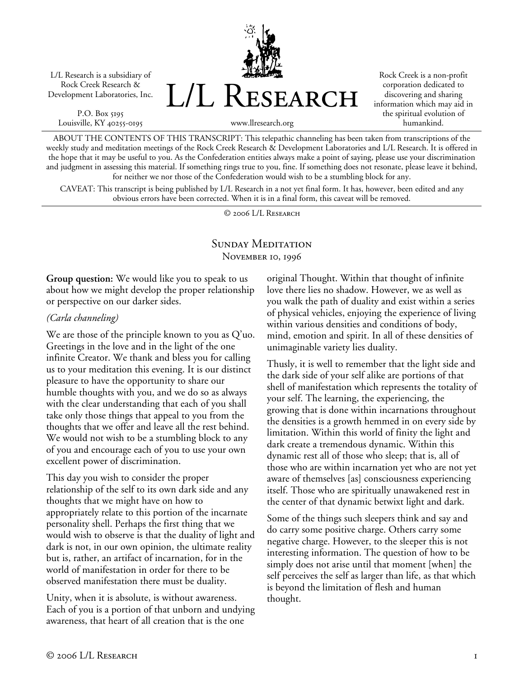L/L Research is a subsidiary of Rock Creek Research & Development Laboratories, Inc.

P.O. Box 5195 Louisville, KY 40255-0195 L/L Research

Rock Creek is a non-profit corporation dedicated to discovering and sharing information which may aid in the spiritual evolution of humankind.

www.llresearch.org

ABOUT THE CONTENTS OF THIS TRANSCRIPT: This telepathic channeling has been taken from transcriptions of the weekly study and meditation meetings of the Rock Creek Research & Development Laboratories and L/L Research. It is offered in the hope that it may be useful to you. As the Confederation entities always make a point of saying, please use your discrimination and judgment in assessing this material. If something rings true to you, fine. If something does not resonate, please leave it behind, for neither we nor those of the Confederation would wish to be a stumbling block for any.

CAVEAT: This transcript is being published by L/L Research in a not yet final form. It has, however, been edited and any obvious errors have been corrected. When it is in a final form, this caveat will be removed.

© 2006 L/L Research

## SUNDAY MEDITATION NOVEMBER 10, 1996

**Group question:** We would like you to speak to us about how we might develop the proper relationship or perspective on our darker sides.

## *(Carla channeling)*

We are those of the principle known to you as Q'uo. Greetings in the love and in the light of the one infinite Creator. We thank and bless you for calling us to your meditation this evening. It is our distinct pleasure to have the opportunity to share our humble thoughts with you, and we do so as always with the clear understanding that each of you shall take only those things that appeal to you from the thoughts that we offer and leave all the rest behind. We would not wish to be a stumbling block to any of you and encourage each of you to use your own excellent power of discrimination.

This day you wish to consider the proper relationship of the self to its own dark side and any thoughts that we might have on how to appropriately relate to this portion of the incarnate personality shell. Perhaps the first thing that we would wish to observe is that the duality of light and dark is not, in our own opinion, the ultimate reality but is, rather, an artifact of incarnation, for in the world of manifestation in order for there to be observed manifestation there must be duality.

Unity, when it is absolute, is without awareness. Each of you is a portion of that unborn and undying awareness, that heart of all creation that is the one

original Thought. Within that thought of infinite love there lies no shadow. However, we as well as you walk the path of duality and exist within a series of physical vehicles, enjoying the experience of living within various densities and conditions of body, mind, emotion and spirit. In all of these densities of unimaginable variety lies duality.

Thusly, it is well to remember that the light side and the dark side of your self alike are portions of that shell of manifestation which represents the totality of your self. The learning, the experiencing, the growing that is done within incarnations throughout the densities is a growth hemmed in on every side by limitation. Within this world of finity the light and dark create a tremendous dynamic. Within this dynamic rest all of those who sleep; that is, all of those who are within incarnation yet who are not yet aware of themselves [as] consciousness experiencing itself. Those who are spiritually unawakened rest in the center of that dynamic betwixt light and dark.

Some of the things such sleepers think and say and do carry some positive charge. Others carry some negative charge. However, to the sleeper this is not interesting information. The question of how to be simply does not arise until that moment [when] the self perceives the self as larger than life, as that which is beyond the limitation of flesh and human thought.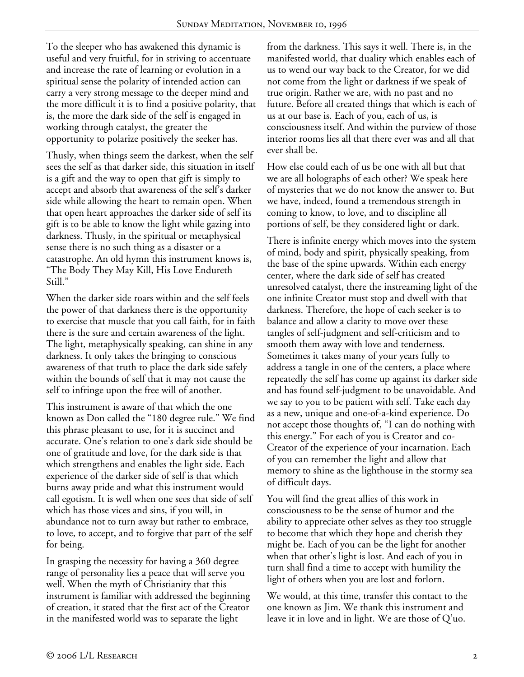To the sleeper who has awakened this dynamic is useful and very fruitful, for in striving to accentuate and increase the rate of learning or evolution in a spiritual sense the polarity of intended action can carry a very strong message to the deeper mind and the more difficult it is to find a positive polarity, that is, the more the dark side of the self is engaged in working through catalyst, the greater the opportunity to polarize positively the seeker has.

Thusly, when things seem the darkest, when the self sees the self as that darker side, this situation in itself is a gift and the way to open that gift is simply to accept and absorb that awareness of the self's darker side while allowing the heart to remain open. When that open heart approaches the darker side of self its gift is to be able to know the light while gazing into darkness. Thusly, in the spiritual or metaphysical sense there is no such thing as a disaster or a catastrophe. An old hymn this instrument knows is, "The Body They May Kill, His Love Endureth Still."

When the darker side roars within and the self feels the power of that darkness there is the opportunity to exercise that muscle that you call faith, for in faith there is the sure and certain awareness of the light. The light, metaphysically speaking, can shine in any darkness. It only takes the bringing to conscious awareness of that truth to place the dark side safely within the bounds of self that it may not cause the self to infringe upon the free will of another.

This instrument is aware of that which the one known as Don called the "180 degree rule." We find this phrase pleasant to use, for it is succinct and accurate. One's relation to one's dark side should be one of gratitude and love, for the dark side is that which strengthens and enables the light side. Each experience of the darker side of self is that which burns away pride and what this instrument would call egotism. It is well when one sees that side of self which has those vices and sins, if you will, in abundance not to turn away but rather to embrace, to love, to accept, and to forgive that part of the self for being.

In grasping the necessity for having a 360 degree range of personality lies a peace that will serve you well. When the myth of Christianity that this instrument is familiar with addressed the beginning of creation, it stated that the first act of the Creator in the manifested world was to separate the light

from the darkness. This says it well. There is, in the manifested world, that duality which enables each of us to wend our way back to the Creator, for we did not come from the light or darkness if we speak of true origin. Rather we are, with no past and no future. Before all created things that which is each of us at our base is. Each of you, each of us, is consciousness itself. And within the purview of those interior rooms lies all that there ever was and all that ever shall be.

How else could each of us be one with all but that we are all holographs of each other? We speak here of mysteries that we do not know the answer to. But we have, indeed, found a tremendous strength in coming to know, to love, and to discipline all portions of self, be they considered light or dark.

There is infinite energy which moves into the system of mind, body and spirit, physically speaking, from the base of the spine upwards. Within each energy center, where the dark side of self has created unresolved catalyst, there the instreaming light of the one infinite Creator must stop and dwell with that darkness. Therefore, the hope of each seeker is to balance and allow a clarity to move over these tangles of self-judgment and self-criticism and to smooth them away with love and tenderness. Sometimes it takes many of your years fully to address a tangle in one of the centers, a place where repeatedly the self has come up against its darker side and has found self-judgment to be unavoidable. And we say to you to be patient with self. Take each day as a new, unique and one-of-a-kind experience. Do not accept those thoughts of, "I can do nothing with this energy." For each of you is Creator and co-Creator of the experience of your incarnation. Each of you can remember the light and allow that memory to shine as the lighthouse in the stormy sea of difficult days.

You will find the great allies of this work in consciousness to be the sense of humor and the ability to appreciate other selves as they too struggle to become that which they hope and cherish they might be. Each of you can be the light for another when that other's light is lost. And each of you in turn shall find a time to accept with humility the light of others when you are lost and forlorn.

We would, at this time, transfer this contact to the one known as Jim. We thank this instrument and leave it in love and in light. We are those of Q'uo.